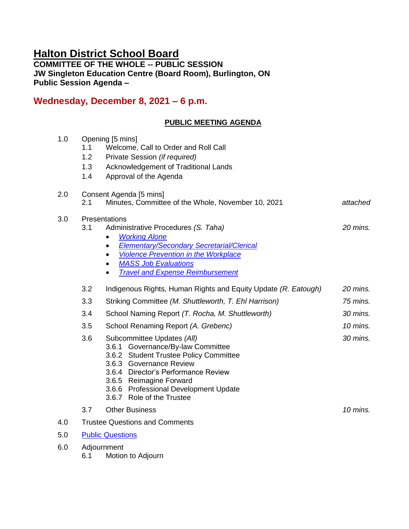# **Halton District School Board**

**COMMITTEE OF THE WHOLE -- PUBLIC SESSION JW Singleton Education Centre (Board Room), Burlington, ON Public Session Agenda –**

# **Wednesday, December 8, 2021 – 6 p.m.**

## **PUBLIC MEETING AGENDA**

| 1.0 | 1.1<br>1.2<br>1.3<br>1.4              | Opening [5 mins]<br>Welcome, Call to Order and Roll Call<br>Private Session (if required)<br>Acknowledgement of Traditional Lands<br>Approval of the Agenda                                                                                                                                                                |            |
|-----|---------------------------------------|----------------------------------------------------------------------------------------------------------------------------------------------------------------------------------------------------------------------------------------------------------------------------------------------------------------------------|------------|
| 2.0 | 2.1                                   | Consent Agenda [5 mins]<br>Minutes, Committee of the Whole, November 10, 2021                                                                                                                                                                                                                                              | attached   |
| 3.0 | 3.1                                   | Presentations<br>Administrative Procedures (S. Taha)<br><b>Working Alone</b><br>$\bullet$<br><b>Elementary/Secondary Secretarial/Clerical</b><br>$\bullet$<br><b>Violence Prevention in the Workplace</b><br>$\bullet$<br><b>MASS Job Evaluations</b><br>$\bullet$<br><b>Travel and Expense Reimbursement</b><br>$\bullet$ | $20$ mins. |
|     | 3.2                                   | Indigenous Rights, Human Rights and Equity Update (R. Eatough)                                                                                                                                                                                                                                                             | 20 mins.   |
|     | 3.3                                   | Striking Committee (M. Shuttleworth, T. Ehl Harrison)                                                                                                                                                                                                                                                                      | 75 mins.   |
|     | 3.4                                   | School Naming Report (T. Rocha, M. Shuttleworth)                                                                                                                                                                                                                                                                           | 30 mins.   |
|     | 3.5                                   | School Renaming Report (A. Grebenc)                                                                                                                                                                                                                                                                                        | 10 mins.   |
|     | 3.6                                   | Subcommittee Updates (All)<br>3.6.1 Governance/By-law Committee<br>3.6.2 Student Trustee Policy Committee<br>3.6.3 Governance Review<br>3.6.4 Director's Performance Review<br>3.6.5 Reimagine Forward<br>3.6.6 Professional Development Update<br>3.6.7 Role of the Trustee                                               | 30 mins.   |
|     | 3.7                                   | <b>Other Business</b>                                                                                                                                                                                                                                                                                                      | 10 mins.   |
| 4.0 | <b>Trustee Questions and Comments</b> |                                                                                                                                                                                                                                                                                                                            |            |
| 5.0 | <b>Public Questions</b>               |                                                                                                                                                                                                                                                                                                                            |            |
| 6.0 | Adjournment                           |                                                                                                                                                                                                                                                                                                                            |            |

6.1 Motion to Adjourn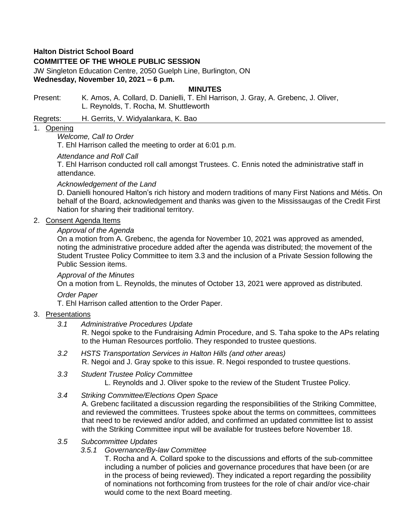### **Halton District School Board**

## **COMMITTEE OF THE WHOLE PUBLIC SESSION**

JW Singleton Education Centre, 2050 Guelph Line, Burlington, ON **Wednesday, November 10, 2021 – 6 p.m.**

#### **MINUTES**

Present: K. Amos, A. Collard, D. Danielli, T. Ehl Harrison, J. Gray, A. Grebenc, J. Oliver, L. Reynolds, T. Rocha, M. Shuttleworth

Regrets: H. Gerrits, V. Widyalankara, K. Bao

#### 1. Opening

#### *Welcome, Call to Order*

T. Ehl Harrison called the meeting to order at 6:01 p.m.

#### *Attendance and Roll Call*

T. Ehl Harrison conducted roll call amongst Trustees. C. Ennis noted the administrative staff in attendance.

#### *Acknowledgement of the Land*

D. Danielli honoured Halton's rich history and modern traditions of many First Nations and Métis. On behalf of the Board, acknowledgement and thanks was given to the Mississaugas of the Credit First Nation for sharing their traditional territory.

#### 2. Consent Agenda Items

#### *Approval of the Agenda*

On a motion from A. Grebenc, the agenda for November 10, 2021 was approved as amended, noting the administrative procedure added after the agenda was distributed; the movement of the Student Trustee Policy Committee to item 3.3 and the inclusion of a Private Session following the Public Session items.

#### *Approval of the Minutes*

On a motion from L. Reynolds, the minutes of October 13, 2021 were approved as distributed.

*Order Paper*

T. Ehl Harrison called attention to the Order Paper.

#### 3. Presentations

*3.1 Administrative Procedures Update*

R. Negoi spoke to the Fundraising Admin Procedure, and S. Taha spoke to the APs relating to the Human Resources portfolio. They responded to trustee questions.

- *3.2 HSTS Transportation Services in Halton Hills (and other areas)* R. Negoi and J. Gray spoke to this issue. R. Negoi responded to trustee questions.
- *3.3 Student Trustee Policy Committee*
	- L. Reynolds and J. Oliver spoke to the review of the Student Trustee Policy.
- *3.4 Striking Committee/Elections Open Space*

A. Grebenc facilitated a discussion regarding the responsibilities of the Striking Committee, and reviewed the committees. Trustees spoke about the terms on committees, committees that need to be reviewed and/or added, and confirmed an updated committee list to assist with the Striking Committee input will be available for trustees before November 18.

#### *3.5 Subcommittee Updates*

#### *3.5.1 Governance/By-law Committee*

T. Rocha and A. Collard spoke to the discussions and efforts of the sub-committee including a number of policies and governance procedures that have been (or are in the process of being reviewed). They indicated a report regarding the possibility of nominations not forthcoming from trustees for the role of chair and/or vice-chair would come to the next Board meeting.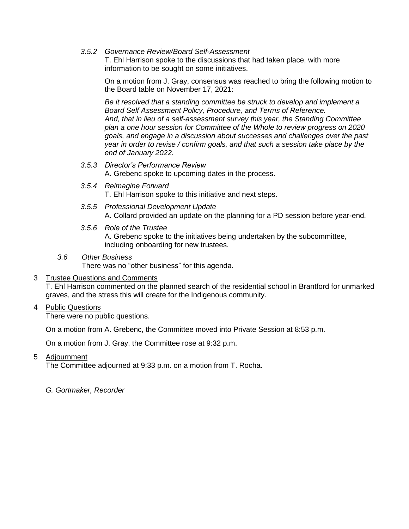*3.5.2 Governance Review/Board Self-Assessment*

T. Ehl Harrison spoke to the discussions that had taken place, with more information to be sought on some initiatives.

On a motion from J. Gray, consensus was reached to bring the following motion to the Board table on November 17, 2021:

*Be it resolved that a standing committee be struck to develop and implement a Board Self Assessment Policy, Procedure, and Terms of Reference. And, that in lieu of a self-assessment survey this year, the Standing Committee plan a one hour session for Committee of the Whole to review progress on 2020 goals, and engage in a discussion about successes and challenges over the past year in order to revise / confirm goals, and that such a session take place by the end of January 2022.*

- *3.5.3 Director's Performance Review*  A. Grebenc spoke to upcoming dates in the process.
- *3.5.4 Reimagine Forward* T. Ehl Harrison spoke to this initiative and next steps.
- *3.5.5 Professional Development Update* A. Collard provided an update on the planning for a PD session before year-end.
- *3.5.6 Role of the Trustee* A. Grebenc spoke to the initiatives being undertaken by the subcommittee, including onboarding for new trustees.
- *3.6 Other Business*

There was no "other business" for this agenda.

#### 3 Trustee Questions and Comments

T. Ehl Harrison commented on the planned search of the residential school in Brantford for unmarked graves, and the stress this will create for the Indigenous community.

#### 4 Public Questions

There were no public questions.

On a motion from A. Grebenc, the Committee moved into Private Session at 8:53 p.m.

On a motion from J. Gray, the Committee rose at 9:32 p.m.

5 Adjournment

The Committee adjourned at 9:33 p.m. on a motion from T. Rocha.

*G. Gortmaker, Recorder*